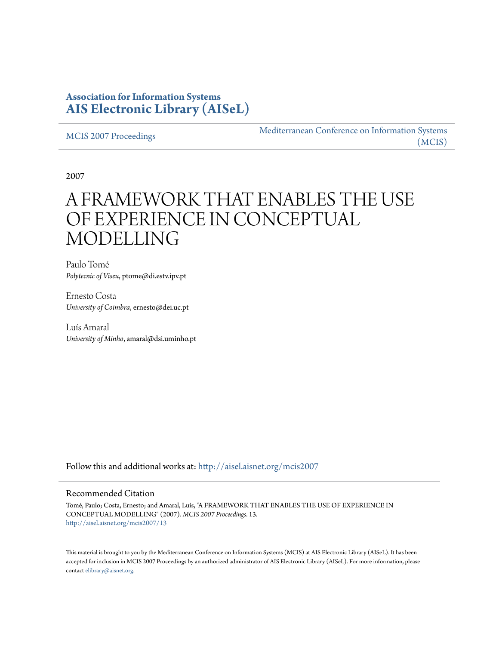## **Association for Information Systems [AIS Electronic Library \(AISeL\)](http://aisel.aisnet.org?utm_source=aisel.aisnet.org%2Fmcis2007%2F13&utm_medium=PDF&utm_campaign=PDFCoverPages)**

[MCIS 2007 Proceedings](http://aisel.aisnet.org/mcis2007?utm_source=aisel.aisnet.org%2Fmcis2007%2F13&utm_medium=PDF&utm_campaign=PDFCoverPages)

[Mediterranean Conference on Information Systems](http://aisel.aisnet.org/mcis?utm_source=aisel.aisnet.org%2Fmcis2007%2F13&utm_medium=PDF&utm_campaign=PDFCoverPages) [\(MCIS\)](http://aisel.aisnet.org/mcis?utm_source=aisel.aisnet.org%2Fmcis2007%2F13&utm_medium=PDF&utm_campaign=PDFCoverPages)

2007

# A FRAMEWORK THAT ENABLES THE USE OF EXPERIENCE IN CONCEPTUAL MODELLING

Paulo Tomé *Polytecnic of Viseu*, ptome@di.estv.ipv.pt

Ernesto Costa *University of Coimbra*, ernesto@dei.uc.pt

Luís Amaral *University of Minho*, amaral@dsi.uminho.pt

Follow this and additional works at: [http://aisel.aisnet.org/mcis2007](http://aisel.aisnet.org/mcis2007?utm_source=aisel.aisnet.org%2Fmcis2007%2F13&utm_medium=PDF&utm_campaign=PDFCoverPages)

#### Recommended Citation

Tomé, Paulo; Costa, Ernesto; and Amaral, Luís, "A FRAMEWORK THAT ENABLES THE USE OF EXPERIENCE IN CONCEPTUAL MODELLING" (2007). *MCIS 2007 Proceedings*. 13. [http://aisel.aisnet.org/mcis2007/13](http://aisel.aisnet.org/mcis2007/13?utm_source=aisel.aisnet.org%2Fmcis2007%2F13&utm_medium=PDF&utm_campaign=PDFCoverPages)

This material is brought to you by the Mediterranean Conference on Information Systems (MCIS) at AIS Electronic Library (AISeL). It has been accepted for inclusion in MCIS 2007 Proceedings by an authorized administrator of AIS Electronic Library (AISeL). For more information, please contact [elibrary@aisnet.org.](mailto:elibrary@aisnet.org%3E)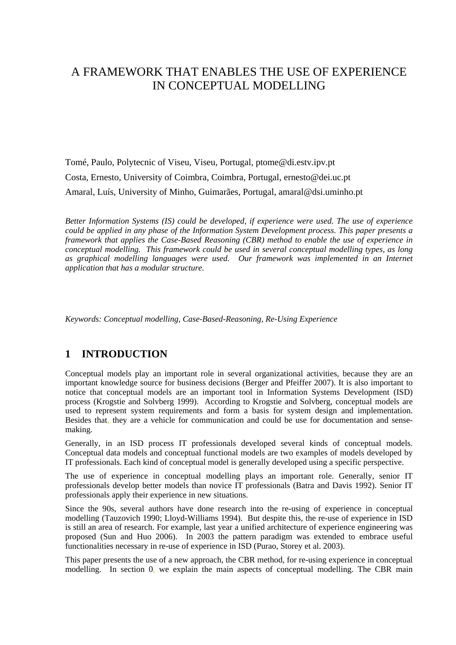# A FRAMEWORK THAT ENABLES THE USE OF EXPERIENCE IN CONCEPTUAL MODELLING

Tomé, Paulo, Polytecnic of Viseu, Viseu, Portugal, ptome@di.estv.ipv.pt Costa, Ernesto, University of Coimbra, Coimbra, Portugal, ernesto@dei.uc.pt Amaral, Luís, University of Minho, Guimarães, Portugal, amaral@dsi.uminho.pt

*Better Information Systems (IS) could be developed, if experience were used. The use of experience could be applied in any phase of the Information System Development process. This paper presents a framework that applies the Case-Based Reasoning (CBR) method to enable the use of experience in conceptual modelling. This framework could be used in several conceptual modelling types, as long*  as graphical modelling languages were used. Our framework was implemented in an Internet *application that has a modular structure.* 

*Keywords: Conceptual modelling, Case-Based-Reasoning, Re-Using Experience* 

## **1 INTRODUCTION**

Conceptual models play an important role in several organizational activities, because they are an important knowledge source for business decisions (Berger and Pfeiffer 2007). It is also important to notice that conceptual models are an important tool in Information Systems Development (ISD) process (Krogstie and Solvberg 1999). According to Krogstie and Solvberg, conceptual models are used to represent system requirements and form a basis for system design and implementation. Besides that, they are a vehicle for communication and could be use for documentation and sensemaking.

Generally, in an ISD process IT professionals developed several kinds of conceptual models. Conceptual data models and conceptual functional models are two examples of models developed by IT professionals. Each kind of conceptual model is generally developed using a specific perspective.

The use of experience in conceptual modelling plays an important role. Generally, senior IT professionals develop better models than novice IT professionals (Batra and Davis 1992). Senior IT professionals apply their experience in new situations.

Since the 90s, several authors have done research into the re-using of experience in conceptual modelling (Tauzovich 1990; Lloyd-Williams 1994). But despite this, the re-use of experience in ISD is still an area of research. For example, last year a unified architecture of experience engineering was proposed (Sun and Huo 2006). In 2003 the pattern paradigm was extended to embrace useful functionalities necessary in re-use of experience in ISD (Purao, Storey et al. 2003).

This paper presents the use of a new approach, the CBR method, for re-using experience in conceptual modelling. In section 0, we explain the main aspects of conceptual modelling. The CBR main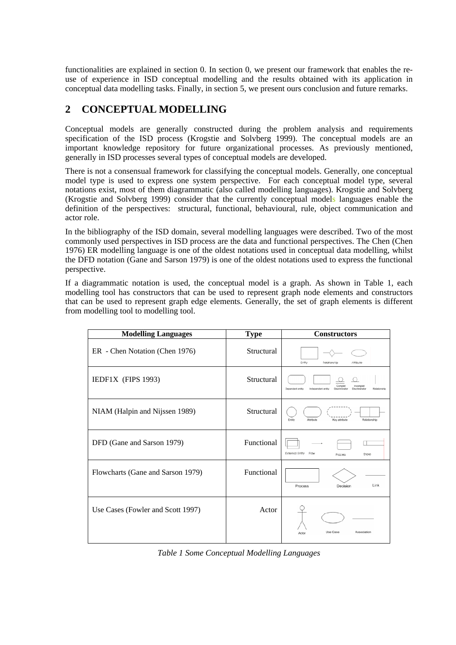functionalities are explained in section 0. In section 0, we present our framework that enables the reuse of experience in ISD conceptual modelling and the results obtained with its application in conceptual data modelling tasks. Finally, in section 5, we present ours conclusion and future remarks.

#### **2 CONCEPTUAL MODELLING**

Conceptual models are generally constructed during the problem analysis and requirements specification of the ISD process (Krogstie and Solvberg 1999). The conceptual models are an important knowledge repository for future organizational processes. As previously mentioned, generally in ISD processes several types of conceptual models are developed.

There is not a consensual framework for classifying the conceptual models. Generally, one conceptual model type is used to express one system perspective. For each conceptual model type, several notations exist, most of them diagrammatic (also called modelling languages). Krogstie and Solvberg (Krogstie and Solvberg 1999) consider that the currently conceptual models languages enable the definition of the perspectives: structural, functional, behavioural, rule, object communication and actor role.

In the bibliography of the ISD domain, several modelling languages were described. Two of the most commonly used perspectives in ISD process are the data and functional perspectives. The Chen (Chen 1976) ER modelling language is one of the oldest notations used in conceptual data modelling, whilst the DFD notation (Gane and Sarson 1979) is one of the oldest notations used to express the functional perspective.

If a diagrammatic notation is used, the conceptual model is a graph. As shown in Table 1, each modelling tool has constructors that can be used to represent graph node elements and constructors that can be used to represent graph edge elements. Generally, the set of graph elements is different from modelling tool to modelling tool.

| <b>Modelling Languages</b>        | <b>Type</b> | <b>Constructors</b>                                                                                            |
|-----------------------------------|-------------|----------------------------------------------------------------------------------------------------------------|
| ER - Chen Notation (Chen 1976)    | Structural  | Entity<br>Reiatianship<br>Attibute                                                                             |
| IEDF1X (FIPS 1993)                | Structural  | Comple<br>ncomplet<br>Dependent entity<br>Independent entity<br>Discriminator<br>Relationship<br>Discriminator |
| NIAM (Halpin and Nijssen 1989)    | Structural  | Entity<br>Attribute<br>Key attribute<br>Relationship                                                           |
| DFD (Gane and Sarson 1979)        | Functional  | <b>External Entity</b><br>Flow<br>Store<br>Process                                                             |
| Flowcharts (Gane and Sarson 1979) | Functional  | Link<br>Decision<br>Process                                                                                    |
| Use Cases (Fowler and Scott 1997) | Actor       | Use Case<br>Association<br>Actor                                                                               |

*Table 1 Some Conceptual Modelling Languages*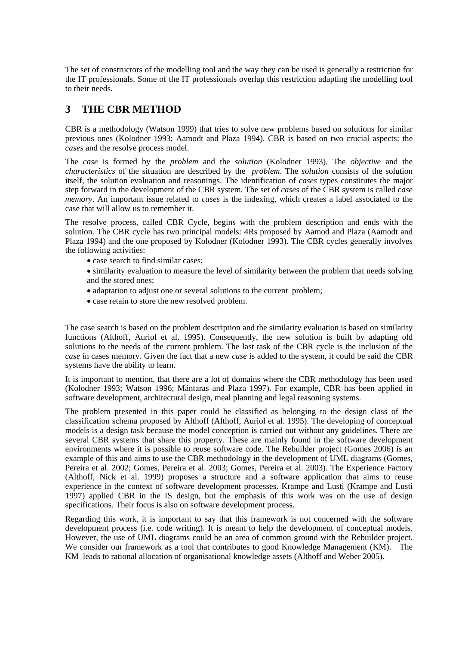The set of constructors of the modelling tool and the way they can be used is generally a restriction for the IT professionals. Some of the IT professionals overlap this restriction adapting the modelling tool to their needs.

#### **3 THE CBR METHOD**

CBR is a methodology (Watson 1999) that tries to solve new problems based on solutions for similar previous ones (Kolodner 1993; Aamodt and Plaza 1994). CBR is based on two crucial aspects: the *cases* and the resolve process model.

The *case* is formed by the *problem* and the *solution* (Kolodner 1993). The *objective* and the *characteristics* of the situation are described by the *problem*. The *solution* consists of the solution itself, the solution evaluation and reasonings. The identification of *cases* types constitutes the major step forward in the development of the CBR system. The set of *cases* of the CBR system is called *case memory*. An important issue related to *cases* is the indexing, which creates a label associated to the case that will allow us to remember it.

The resolve process, called CBR Cycle, begins with the problem description and ends with the solution. The CBR cycle has two principal models: 4Rs proposed by Aamod and Plaza (Aamodt and Plaza 1994) and the one proposed by Kolodner (Kolodner 1993). The CBR cycles generally involves the following activities:

- case search to find similar cases:
- similarity evaluation to measure the level of similarity between the problem that needs solving and the stored ones;
- adaptation to adjust one or several solutions to the current problem;
- case retain to store the new resolved problem.

The case search is based on the problem description and the similarity evaluation is based on similarity functions (Althoff, Auriol et al. 1995). Consequently, the new solution is built by adapting old solutions to the needs of the current problem. The last task of the CBR cycle is the inclusion of the *case* in cases memory. Given the fact that a new *case* is added to the system, it could be said the CBR systems have the ability to learn.

It is important to mention, that there are a lot of domains where the CBR methodology has been used (Kolodner 1993; Watson 1996; Mántaras and Plaza 1997). For example, CBR has been applied in software development, architectural design, meal planning and legal reasoning systems.

The problem presented in this paper could be classified as belonging to the design class of the classification schema proposed by Althoff (Althoff, Auriol et al. 1995). The developing of conceptual models is a design task because the model conception is carried out without any guidelines. There are several CBR systems that share this property. These are mainly found in the software development environments where it is possible to reuse software code. The Rebuilder project (Gomes 2006) is an example of this and aims to use the CBR methodology in the development of UML diagrams (Gomes, Pereira et al. 2002; Gomes, Pereira et al. 2003; Gomes, Pereira et al. 2003). The Experience Factory (Althoff, Nick et al. 1999) proposes a structure and a software application that aims to reuse experience in the context of software development processes. Krampe and Lusti (Krampe and Lusti 1997) applied CBR in the IS design, but the emphasis of this work was on the use of design specifications. Their focus is also on software development process.

Regarding this work, it is important to say that this framework is not concerned with the software development process (i.e. code writing). It is meant to help the development of conceptual models. However, the use of UML diagrams could be an area of common ground with the Rebuilder project. We consider our framework as a tool that contributes to good Knowledge Management (KM). The KM leads to rational allocation of organisational knowledge assets (Althoff and Weber 2005).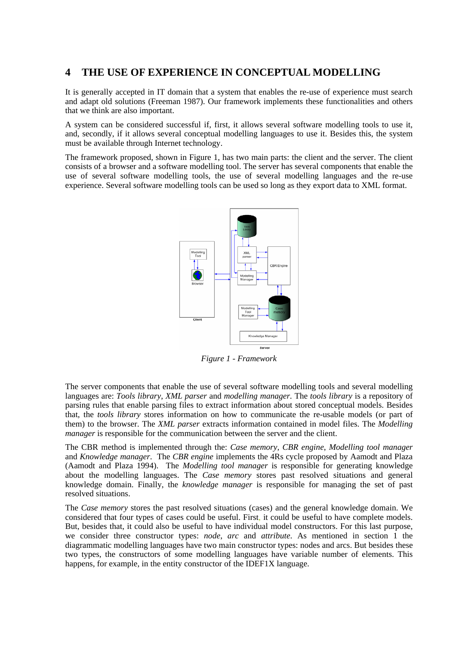#### **4 THE USE OF EXPERIENCE IN CONCEPTUAL MODELLING**

It is generally accepted in IT domain that a system that enables the re-use of experience must search and adapt old solutions (Freeman 1987). Our framework implements these functionalities and others that we think are also important.

A system can be considered successful if, first, it allows several software modelling tools to use it, and, secondly, if it allows several conceptual modelling languages to use it. Besides this, the system must be available through Internet technology.

The framework proposed, shown in Figure 1, has two main parts: the client and the server. The client consists of a browser and a software modelling tool. The server has several components that enable the use of several software modelling tools, the use of several modelling languages and the re-use experience. Several software modelling tools can be used so long as they export data to XML format.



*Figure 1 - Framework* 

The server components that enable the use of several software modelling tools and several modelling languages are: *Tools library*, *XML parser* and *modelling manager.* The *tools library* is a repository of parsing rules that enable parsing files to extract information about stored conceptual models. Besides that, the *tools library* stores information on how to communicate the re-usable models (or part of them) to the browser. The *XML parser* extracts information contained in model files. The *Modelling manager* is responsible for the communication between the server and the client.

The CBR method is implemented through the: *Case memory, CBR engine*, *Modelling tool manager* and *Knowledge manager*. The *CBR engine* implements the 4Rs cycle proposed by Aamodt and Plaza (Aamodt and Plaza 1994). The *Modelling tool manager* is responsible for generating knowledge about the modelling languages. The *Case memory* stores past resolved situations and general knowledge domain. Finally, the *knowledge manager* is responsible for managing the set of past resolved situations.

The *Case memory* stores the past resolved situations (cases) and the general knowledge domain. We considered that four types of cases could be useful. First, it could be useful to have complete models. But, besides that, it could also be useful to have individual model constructors. For this last purpose, we consider three constructor types: *node*, *arc* and *attribute*. As mentioned in section 1 the diagrammatic modelling languages have two main constructor types: nodes and arcs. But besides these two types, the constructors of some modelling languages have variable number of elements. This happens, for example, in the entity constructor of the IDEF1X language.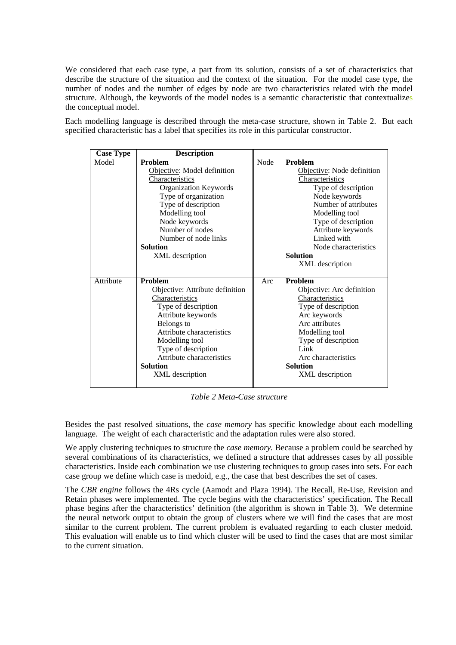We considered that each case type, a part from its solution, consists of a set of characteristics that describe the structure of the situation and the context of the situation. For the model case type, the number of nodes and the number of edges by node are two characteristics related with the model structure. Although, the keywords of the model nodes is a semantic characteristic that contextualizes the conceptual model.

Each modelling language is described through the meta-case structure, shown in Table 2. But each specified characteristic has a label that specifies its role in this particular constructor.

| <b>Case Type</b> | <b>Description</b>                                                                                                                                                                                                                                                       |      |                                                                                                                                                                                                                                                                             |
|------------------|--------------------------------------------------------------------------------------------------------------------------------------------------------------------------------------------------------------------------------------------------------------------------|------|-----------------------------------------------------------------------------------------------------------------------------------------------------------------------------------------------------------------------------------------------------------------------------|
| Model            | <b>Problem</b><br>Objective: Model definition<br>Characteristics<br>Organization Keywords<br>Type of organization<br>Type of description<br>Modelling tool<br>Node keywords<br>Number of nodes<br>Number of node links<br><b>Solution</b><br>XML description             | Node | <b>Problem</b><br>Objective: Node definition<br>Characteristics<br>Type of description<br>Node keywords<br>Number of attributes<br>Modelling tool<br>Type of description<br>Attribute keywords<br>Linked with<br>Node characteristics<br><b>Solution</b><br>XML description |
| Attribute        | <b>Problem</b><br>Objective: Attribute definition<br>Characteristics<br>Type of description<br>Attribute keywords<br>Belongs to<br>Attribute characteristics<br>Modelling tool<br>Type of description<br>Attribute characteristics<br><b>Solution</b><br>XML description | Arc  | Problem<br>Objective: Arc definition<br>Characteristics<br>Type of description<br>Arc keywords<br>Arc attributes<br>Modelling tool<br>Type of description<br>Link<br>Arc characteristics<br><b>Solution</b><br>XML description                                              |

*Table 2 Meta-Case structure* 

Besides the past resolved situations, the *case memory* has specific knowledge about each modelling language. The weight of each characteristic and the adaptation rules were also stored.

We apply clustering techniques to structure the *case memory.* Because a problem could be searched by several combinations of its characteristics, we defined a structure that addresses cases by all possible characteristics. Inside each combination we use clustering techniques to group cases into sets. For each case group we define which case is medoid, e.g., the case that best describes the set of cases.

The *CBR engine* follows the 4Rs cycle (Aamodt and Plaza 1994). The Recall, Re-Use, Revision and Retain phases were implemented. The cycle begins with the characteristics' specification. The Recall phase begins after the characteristics' definition (the algorithm is shown in Table 3). We determine the neural network output to obtain the group of clusters where we will find the cases that are most similar to the current problem. The current problem is evaluated regarding to each cluster medoid. This evaluation will enable us to find which cluster will be used to find the cases that are most similar to the current situation.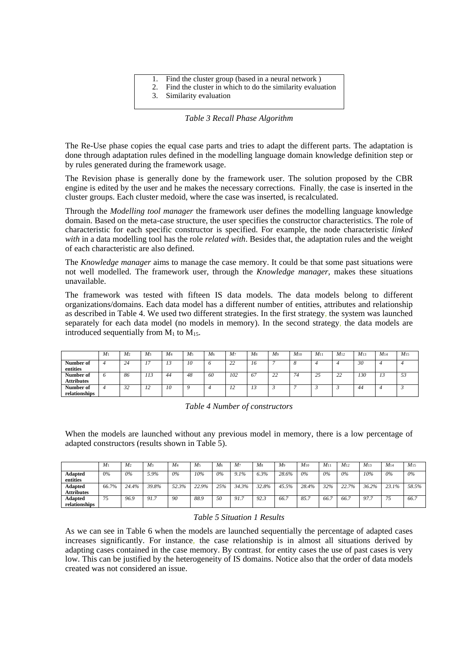| 1. Find the cluster group (based in a neural network)        |
|--------------------------------------------------------------|
| 2. Find the cluster in which to do the similarity evaluation |
| 3. Similarity evaluation                                     |

*Table 3 Recall Phase Algorithm* 

The Re-Use phase copies the equal case parts and tries to adapt the different parts. The adaptation is done through adaptation rules defined in the modelling language domain knowledge definition step or by rules generated during the framework usage.

The Revision phase is generally done by the framework user. The solution proposed by the CBR engine is edited by the user and he makes the necessary corrections. Finally, the case is inserted in the cluster groups. Each cluster medoid, where the case was inserted, is recalculated.

Through the *Modelling tool manager* the framework user defines the modelling language knowledge domain. Based on the meta-case structure, the user specifies the constructor characteristics. The role of characteristic for each specific constructor is specified. For example, the node characteristic *linked with* in a data modelling tool has the role *related with*. Besides that, the adaptation rules and the weight of each characteristic are also defined.

The *Knowledge manager* aims to manage the case memory. It could be that some past situations were not well modelled. The framework user, through the *Knowledge manager,* makes these situations unavailable.

The framework was tested with fifteen IS data models. The data models belong to different organizations/domains. Each data model has a different number of entities, attributes and relationship as described in Table 4. We used two different strategies. In the first strategy, the system was launched separately for each data model (no models in memory). In the second strategy, the data models are introduced sequentially from  $M_1$  to  $M_1$ <sub>5</sub>.

|                                | $M_1$ | M <sub>2</sub> | M <sub>3</sub> | M <sub>4</sub>     | M <sub>5</sub> | M <sub>6</sub> | M7                 | M <sub>8</sub> | M <sub>9</sub>      | $M_{10}$ | $M_{11}$       | $M_{12}$            | $M_{13}$ | $M_{14}$ | $M_{15}$ |
|--------------------------------|-------|----------------|----------------|--------------------|----------------|----------------|--------------------|----------------|---------------------|----------|----------------|---------------------|----------|----------|----------|
| Number of<br>entities          |       | -44            | . –            | $\mathbf{r}$<br>13 | 10             |                | $\mathbf{A}$<br>∠∠ | 16             | -                   |          |                |                     | 30       |          |          |
| Number of<br><b>Attributes</b> |       | 86             | 113            | 44                 | 48             | 60             | 102                | 67             | $\mathcal{L}$<br>∠∠ | 74       | $\gamma$<br>رے | $\mathcal{D}$<br>44 | 130      | 15       | 53       |
| Number of<br>relationships     |       | ے ر            | 1/2            | 10                 |                |                | 1/2                | 13             | .                   |          |                |                     | 44       |          |          |

*Table 4 Number of constructors* 

When the models are launched without any previous model in memory, there is a low percentage of adapted constructors (results shown in Table 5).

|                              | $M_1$ | M <sub>2</sub> | $M_3$ | M4    | M <sub>5</sub> | M <sub>6</sub> | M7    | M <sub>8</sub> | M9    | $M_{10}$ | $M_{11}$ | $M_{12}$ | $M_{13}$ | $M_{14}$ | $M_{15}$ |
|------------------------------|-------|----------------|-------|-------|----------------|----------------|-------|----------------|-------|----------|----------|----------|----------|----------|----------|
| <b>Adapted</b><br>entities   | 0%    | 0%             | 5.9%  | $0\%$ | 10%            | 0%             | 9.1%  | 6.3%           | 28.6% | 0%       | 0%       | 0%       | 10%      | $0\%$    | 0%       |
| Adapted<br><b>Attributes</b> | 66.7% | 24.4%          | 39.8% | 52.3% | 22.9%          | 25%            | 34.3% | 32.8%          | 45.5% | 28.4%    | 32%      | 22.7%    | 36.2%    | 23.1%    | 58.5%    |
| Adapted<br>relationships     | 75    | 96.9           | 91.7  | 90    | 88.9           | 50             | 91.7  | 92.3           | 66.7  | 85.7     | 66.      | 66.7     | 97.      |          | 66.7     |

#### *Table 5 Situation 1 Results*

As we can see in Table 6 when the models are launched sequentially the percentage of adapted cases increases significantly. For instance, the case relationship is in almost all situations derived by adapting cases contained in the case memory. By contrast, for entity cases the use of past cases is very low. This can be justified by the heterogeneity of IS domains. Notice also that the order of data models created was not considered an issue.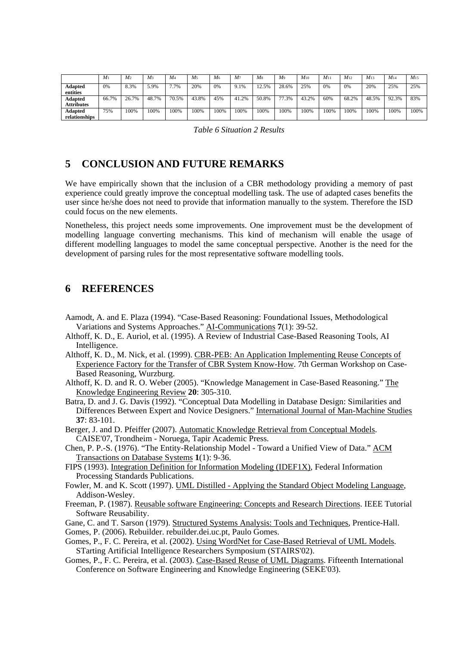|                              | M <sub>1</sub> | M <sub>2</sub> | $M_3$ | M <sub>4</sub> | M <sub>5</sub> | M <sub>6</sub> | M <sub>7</sub> | M <sub>8</sub> | M <sub>9</sub> | $M_{10}$ | $M_{11}$ | $M_{12}$ | $M_{13}$ | $M_{14}$ | $M_{15}$ |
|------------------------------|----------------|----------------|-------|----------------|----------------|----------------|----------------|----------------|----------------|----------|----------|----------|----------|----------|----------|
| Adapted<br>entities          | 0%             | 8.3%           | 5.9%  | 7.7%           | 20%            | 0%             | 9.1%           | 2.5%           | 28.6%          | 25%      | 0%       | 0%       | 20%      | 25%      | 25%      |
| Adapted<br><b>Attributes</b> | 66.7%          | 26.7%          | 48.7% | 70.5%          | 43.8%          | 45%            | 41.2%          | 50.8%          | 77.3%          | 43.2%    | 60%      | 68.2%    | 48.5%    | 92.3%    | 83%      |
| Adapted<br>relationships     | 75%            | 100%           | 100%  | 100%           | 100%           | 100%           | 100%           | 100%           | 100%           | 100%     | 100%     | 100%     | 100%     | 100%     | 100%     |

*Table 6 Situation 2 Results* 

#### **5 CONCLUSION AND FUTURE REMARKS**

We have empirically shown that the inclusion of a CBR methodology providing a memory of past experience could greatly improve the conceptual modelling task. The use of adapted cases benefits the user since he/she does not need to provide that information manually to the system. Therefore the ISD could focus on the new elements.

Nonetheless, this project needs some improvements. One improvement must be the development of modelling language converting mechanisms. This kind of mechanism will enable the usage of different modelling languages to model the same conceptual perspective. Another is the need for the development of parsing rules for the most representative software modelling tools.

#### **6 REFERENCES**

- Aamodt, A. and E. Plaza (1994). "Case-Based Reasoning: Foundational Issues, Methodological Variations and Systems Approaches." AI-Communications **7**(1): 39-52.
- Althoff, K. D., E. Auriol, et al. (1995). A Review of Industrial Case-Based Reasoning Tools, AI Intelligence.
- Althoff, K. D., M. Nick, et al. (1999). CBR-PEB: An Application Implementing Reuse Concepts of Experience Factory for the Transfer of CBR System Know-How. 7th German Workshop on Case-Based Reasoning, Wurzburg.
- Althoff, K. D. and R. O. Weber (2005). "Knowledge Management in Case-Based Reasoning." The Knowledge Engineering Review **20**: 305-310.
- Batra, D. and J. G. Davis (1992). "Conceptual Data Modelling in Database Design: Similarities and Differences Between Expert and Novice Designers." International Journal of Man-Machine Studies **37**: 83-101.
- Berger, J. and D. Pfeiffer (2007). Automatic Knowledge Retrieval from Conceptual Models. CAISE'07, Trondheim - Noruega, Tapir Academic Press.
- Chen, P. P.-S. (1976). "The Entity-Relationship Model Toward a Unified View of Data." ACM Transactions on Database Systems **1**(1): 9-36.
- FIPS (1993). Integration Definition for Information Modeling (IDEF1X), Federal Information Processing Standards Publications.
- Fowler, M. and K. Scott (1997). UML Distilled Applying the Standard Object Modeling Language, Addison-Wesley.
- Freeman, P. (1987). Reusable software Engineering: Concepts and Research Directions. IEEE Tutorial Software Reusability.

Gane, C. and T. Sarson (1979). Structured Systems Analysis: Tools and Techniques, Prentice-Hall.

Gomes, P. (2006). Rebuilder. rebuilder.dei.uc.pt, Paulo Gomes.

- Gomes, P., F. C. Pereira, et al. (2002). Using WordNet for Case-Based Retrieval of UML Models. STarting Artificial Intelligence Researchers Symposium (STAIRS'02).
- Gomes, P., F. C. Pereira, et al. (2003). Case-Based Reuse of UML Diagrams. Fifteenth International Conference on Software Engineering and Knowledge Engineering (SEKE'03).